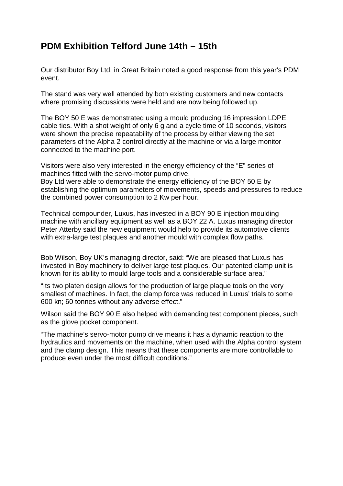## **PDM Exhibition Telford June 14th – 15th**

Our distributor Boy Ltd. in Great Britain noted a good response from this year's PDM event.

The stand was very well attended by both existing customers and new contacts where promising discussions were held and are now being followed up.

The BOY 50 E was demonstrated using a mould producing 16 impression LDPE cable ties. With a shot weight of only 6 g and a cycle time of 10 seconds, visitors were shown the precise repeatability of the process by either viewing the set parameters of the Alpha 2 control directly at the machine or via a large monitor connected to the machine port.

Visitors were also very interested in the energy efficiency of the "E" series of machines fitted with the servo-motor pump drive.

Boy Ltd were able to demonstrate the energy efficiency of the BOY 50 E by establishing the optimum parameters of movements, speeds and pressures to reduce the combined power consumption to 2 Kw per hour.

Technical compounder, Luxus, has invested in a BOY 90 E injection moulding machine with ancillary equipment as well as a BOY 22 A. Luxus managing director Peter Atterby said the new equipment would help to provide its automotive clients with extra-large test plaques and another mould with complex flow paths.

Bob Wilson, Boy UK's managing director, said: "We are pleased that Luxus has invested in Boy machinery to deliver large test plaques. Our patented clamp unit is known for its ability to mould large tools and a considerable surface area."

"Its two platen design allows for the production of large plaque tools on the very smallest of machines. In fact, the clamp force was reduced in Luxus' trials to some 600 kn; 60 tonnes without any adverse effect."

Wilson said the BOY 90 E also helped with demanding test component pieces, such as the glove pocket component.

"The machine's servo-motor pump drive means it has a dynamic reaction to the hydraulics and movements on the machine, when used with the Alpha control system and the clamp design. This means that these components are more controllable to produce even under the most difficult conditions."